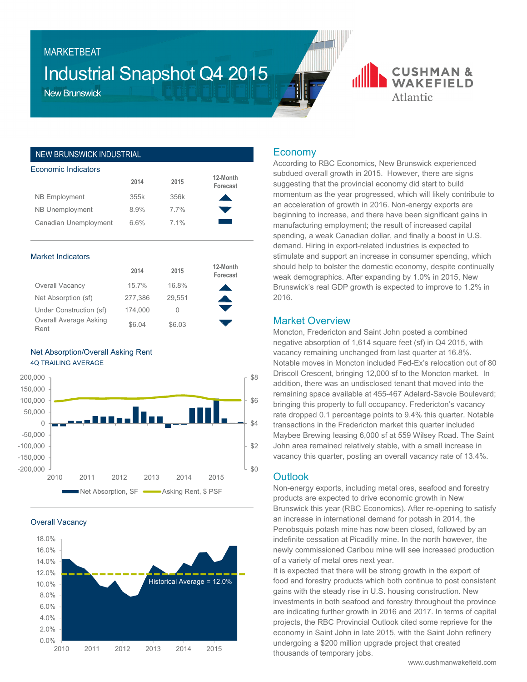# Industrial Snapshot Q4 2015

New Brunswick

**MARKFTBFAT** 

## NEW BRUNSWICK INDUSTRIAL

| <b>Economic Indicators</b> |      |         |                      |  |  |  |  |
|----------------------------|------|---------|----------------------|--|--|--|--|
|                            | 2014 | 2015    | 12-Month<br>Forecast |  |  |  |  |
| <b>NB Employment</b>       | 355k | 356k    |                      |  |  |  |  |
| <b>NB Unemployment</b>     | 8.9% | $7.7\%$ |                      |  |  |  |  |
| Canadian Unemployment      | 6.6% | $7.1\%$ |                      |  |  |  |  |

#### Market Indicators

|                                | 2014    | 2015   | 12-Month<br>Forecast |
|--------------------------------|---------|--------|----------------------|
| Overall Vacancy                | 15.7%   | 16.8%  |                      |
| Net Absorption (sf)            | 277,386 | 29,551 |                      |
| Under Construction (sf)        | 174.000 | 0      |                      |
| Overall Average Asking<br>Rent | \$6.04  | \$6.03 |                      |





Overall Vacancy



# **Economy**

According to RBC Economics, New Brunswick experienced subdued overall growth in 2015. However, there are signs suggesting that the provincial economy did start to build momentum as the year progressed, which will likely contribute to an acceleration of growth in 2016. Non-energy exports are beginning to increase, and there have been significant gains in manufacturing employment; the result of increased capital spending, a weak Canadian dollar, and finally a boost in U.S. demand. Hiring in export-related industries is expected to stimulate and support an increase in consumer spending, which should help to bolster the domestic economy, despite continually weak demographics. After expanding by 1.0% in 2015, New Brunswick's real GDP growth is expected to improve to 1.2% in 2016.

**CUSHMAN & WAKFFIFID** 

Atlantic

### Market Overview

Moncton, Fredericton and Saint John posted a combined negative absorption of 1,614 square feet (sf) in Q4 2015, with vacancy remaining unchanged from last quarter at 16.8%. Notable moves in Moncton included Fed-Ex's relocation out of 80 Driscoll Crescent, bringing 12,000 sf to the Moncton market. In addition, there was an undisclosed tenant that moved into the remaining space available at 455-467 Adelard-Savoie Boulevard; bringing this property to full occupancy. Fredericton's vacancy rate dropped 0.1 percentage points to 9.4% this quarter. Notable transactions in the Fredericton market this quarter included Maybee Brewing leasing 6,000 sf at 559 Wilsey Road. The Saint John area remained relatively stable, with a small increase in vacancy this quarter, posting an overall vacancy rate of 13.4%.

#### **Outlook**

Non-energy exports, including metal ores, seafood and forestry products are expected to drive economic growth in New Brunswick this year (RBC Economics). After re-opening to satisfy an increase in international demand for potash in 2014, the Penobsquis potash mine has now been closed, followed by an indefinite cessation at Picadilly mine. In the north however, the newly commissioned Caribou mine will see increased production of a variety of metal ores next year.

It is expected that there will be strong growth in the export of food and forestry products which both continue to post consistent gains with the steady rise in U.S. housing construction. New investments in both seafood and forestry throughout the province are indicating further growth in 2016 and 2017. In terms of capital projects, the RBC Provincial Outlook cited some reprieve for the economy in Saint John in late 2015, with the Saint John refinery undergoing a \$200 million upgrade project that created thousands of temporary jobs.